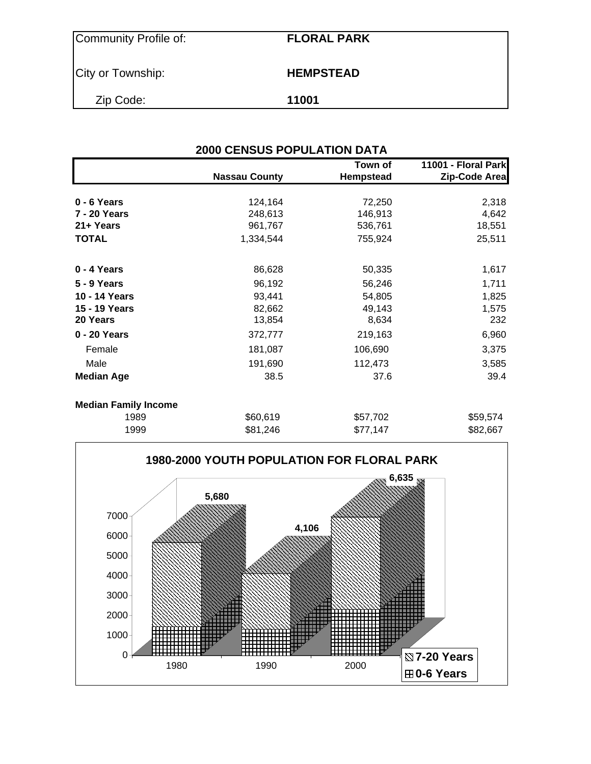| <b>HEMPSTEAD</b> |
|------------------|
| 11001            |
|                  |

| <b>2000 CENSUS POPULATION DATA</b> |                      |                             |                                      |  |  |  |  |
|------------------------------------|----------------------|-----------------------------|--------------------------------------|--|--|--|--|
|                                    | <b>Nassau County</b> | Town of<br><b>Hempstead</b> | 11001 - Floral Park<br>Zip-Code Area |  |  |  |  |
| 0 - 6 Years                        | 124,164              | 72,250                      | 2,318                                |  |  |  |  |
| 7 - 20 Years                       | 248,613              | 146,913                     | 4,642                                |  |  |  |  |
| 21+ Years                          | 961,767              | 536,761                     | 18,551                               |  |  |  |  |
| <b>TOTAL</b>                       | 1,334,544            | 755,924                     | 25,511                               |  |  |  |  |
| 0 - 4 Years                        | 86,628               | 50,335                      | 1,617                                |  |  |  |  |
| 5 - 9 Years                        | 96,192               | 56,246                      | 1,711                                |  |  |  |  |
| 10 - 14 Years                      | 93,441               | 54,805                      | 1,825                                |  |  |  |  |
| 15 - 19 Years                      | 82,662               | 49,143                      | 1,575                                |  |  |  |  |
| 20 Years                           | 13,854               | 8,634                       | 232                                  |  |  |  |  |
| 0 - 20 Years                       | 372,777              | 219,163                     | 6,960                                |  |  |  |  |
| Female                             | 181,087              | 106,690                     | 3,375                                |  |  |  |  |
| Male                               | 191,690              | 112,473                     | 3,585                                |  |  |  |  |
| <b>Median Age</b>                  | 38.5                 | 37.6                        | 39.4                                 |  |  |  |  |
| <b>Median Family Income</b>        |                      |                             |                                      |  |  |  |  |
| 1989                               | \$60,619             | \$57,702                    | \$59,574                             |  |  |  |  |
| 1999                               | \$81,246             | \$77,147                    | \$82,667                             |  |  |  |  |

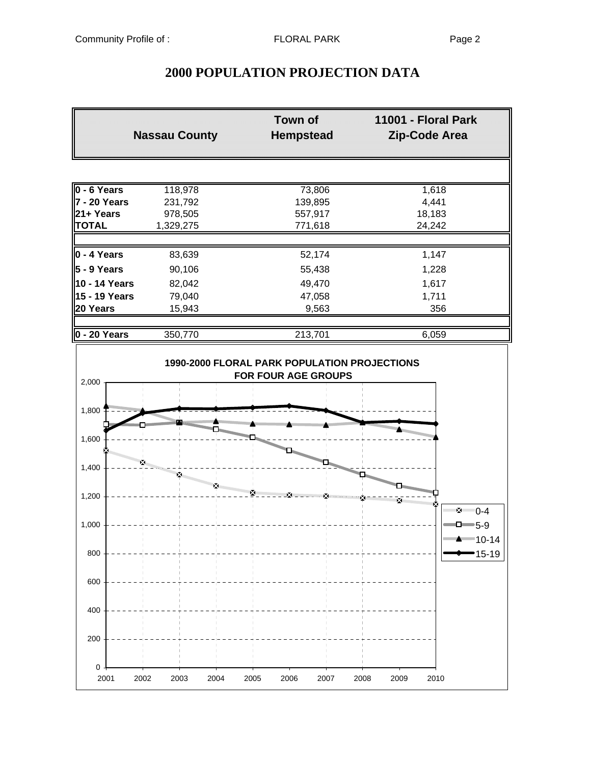$0 -$ 

# **2000 POPULATION PROJECTION DATA**

| <b>Nassau County</b> |           | Town of<br><b>Hempstead</b> | 11001 - Floral Park<br>Zip-Code Area |
|----------------------|-----------|-----------------------------|--------------------------------------|
|                      |           |                             |                                      |
| 0 - 6 Years          | 118,978   | 73,806                      | 1,618                                |
| 7 - 20 Years         | 231,792   | 139,895                     | 4,441                                |
| 21+ Years            | 978,505   | 557,917                     | 18,183                               |
| <b>TOTAL</b>         | 1,329,275 | 771,618                     | 24,242                               |
| $0 - 4$ Years        | 83,639    | 52,174                      | 1,147                                |
| $5 - 9$ Years        | 90,106    | 55,438                      | 1,228                                |
| 10 - 14 Years        | 82,042    | 49,470                      | 1,617                                |
| 15 - 19 Years        | 79,040    | 47,058                      | 1,711                                |
| 20 Years             | 15,943    | 9,563                       | 356                                  |
| 0 - 20 Years         | 350,770   | 213,701                     | 6,059                                |
| 2,000<br>1,800       |           |                             |                                      |
|                      |           |                             | nin <sub>ininin</sub>                |
| 1,600                |           |                             |                                      |
| 1,400                |           |                             |                                      |
| 1,200                |           |                             | ×<br>™⊻ 2ে 0-4                       |
| 1,000                |           |                             | $\Box$ = 5-9<br>$=10-14$             |
| 800                  |           |                             | ∙15-19                               |
| 600                  |           |                             |                                      |
| 400                  |           |                             |                                      |
| 200                  |           |                             |                                      |

2001 2002 2003 2004 2005 2006 2007 2008 2009 2010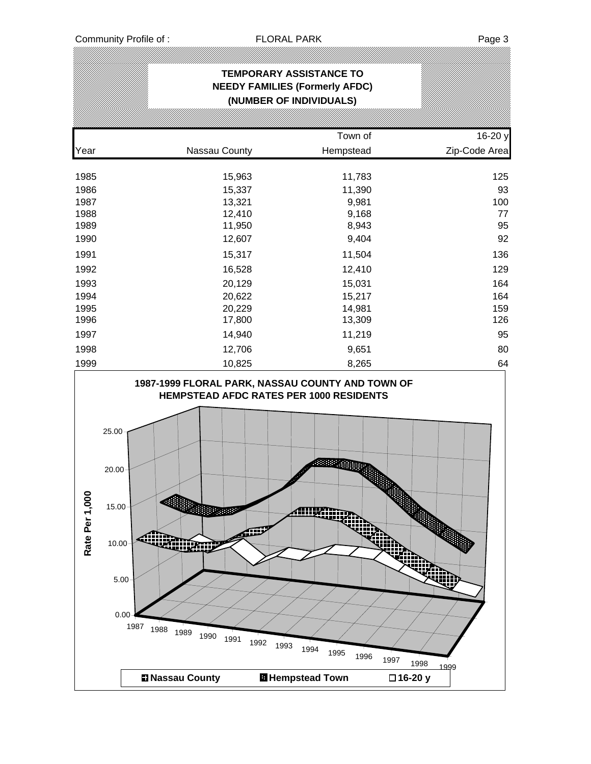IJ)

|                                                                                                                      |                                                                                                                                                                                                          | <b>TEMPORARY ASSISTANCE TO</b><br>(NUMBER OF INDIVIDUALS)                                                                                          | <b>NEEDY FAMILIES (Formerly AFDC)</b>                                                                                                        |                                        |                                                                                                |
|----------------------------------------------------------------------------------------------------------------------|----------------------------------------------------------------------------------------------------------------------------------------------------------------------------------------------------------|----------------------------------------------------------------------------------------------------------------------------------------------------|----------------------------------------------------------------------------------------------------------------------------------------------|----------------------------------------|------------------------------------------------------------------------------------------------|
|                                                                                                                      |                                                                                                                                                                                                          |                                                                                                                                                    |                                                                                                                                              |                                        |                                                                                                |
| Year                                                                                                                 | Nassau County                                                                                                                                                                                            |                                                                                                                                                    | Town of<br>Hempstead                                                                                                                         |                                        | 16-20 y<br>Zip-Code Area                                                                       |
| 1985<br>1986<br>1987<br>1988<br>1989<br>1990<br>1991<br>1992<br>1993<br>1994<br>1995<br>1996<br>1997<br>1998<br>1999 |                                                                                                                                                                                                          | 15,963<br>15,337<br>13,321<br>12,410<br>11,950<br>12,607<br>15,317<br>16,528<br>20,129<br>20,622<br>20,229<br>17,800<br>14,940<br>12,706<br>10,825 | 11,783<br>11,390<br>9,981<br>9,168<br>8,943<br>9,404<br>11,504<br>12,410<br>15,031<br>15,217<br>14,981<br>13,309<br>11,219<br>9,651<br>8,265 |                                        | 125<br>93<br>100<br>77<br>95<br>92<br>136<br>129<br>164<br>164<br>159<br>126<br>95<br>80<br>64 |
| Rate Per 1,00                                                                                                        | 1987-1999 FLORAL PARK, NASSAU COUNTY AND TOWN OF<br>25.00<br>20.00<br>$15.00 -$<br>Ganner<br>diin<br>10.00<br><b>THE ROOM</b><br>5.00<br>0.00<br>1987<br>1988<br>1989<br>1990<br><b>El Nassau County</b> | لتلتك<br>1991<br>1992<br>1993                                                                                                                      | <b>HEMPSTEAD AFDC RATES PER 1000 RESIDENTS</b><br><b>Alliuan</b><br>1994<br>1995<br>1996<br><b>El Hempstead Town</b>                         | ya<br>1997<br>1998<br>1999<br>□16-20 y |                                                                                                |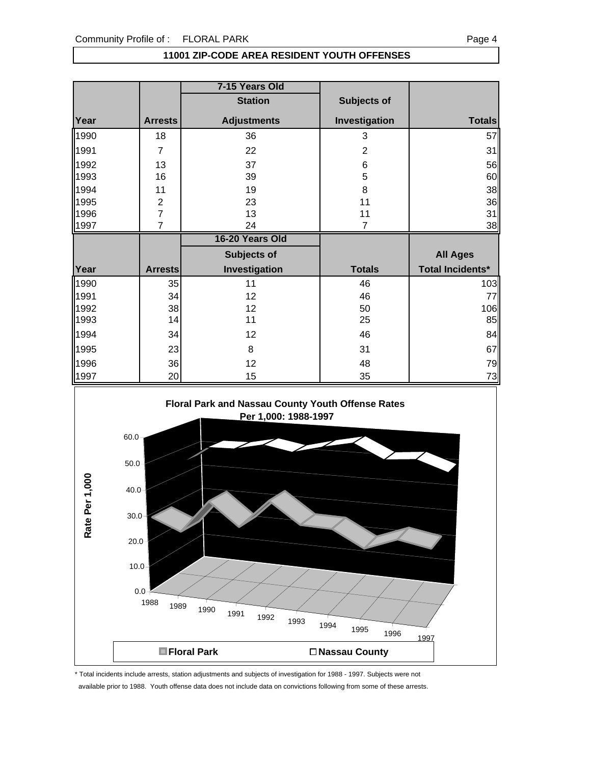### **11001 ZIP-CODE AREA RESIDENT YOUTH OFFENSES**

|      |                | 7-15 Years Old     |               |                         |
|------|----------------|--------------------|---------------|-------------------------|
|      |                | <b>Station</b>     | Subjects of   |                         |
| Year | <b>Arrests</b> | <b>Adjustments</b> | Investigation | <b>Totals</b>           |
| 1990 | 18             | 36                 | 3             | 57                      |
| 1991 | $\overline{7}$ | 22                 | 2             | 31                      |
| 1992 | 13             | 37                 | 6             | 56                      |
| 1993 | 16             | 39                 | 5             | 60                      |
| 1994 | 11             | 19                 | 8             | 38                      |
| 1995 | $\overline{c}$ | 23                 | 11            | 36                      |
| 1996 | $\overline{7}$ | 13                 | 11            | 31                      |
| 1997 | 7              | 24                 | 7             | 38                      |
|      |                |                    |               |                         |
|      |                | 16-20 Years Old    |               |                         |
|      |                | <b>Subjects of</b> |               | <b>All Ages</b>         |
| Year | <b>Arrests</b> | Investigation      | <b>Totals</b> | <b>Total Incidents*</b> |
| 1990 | 35             | 11                 | 46            | 103                     |
| 1991 | 34             | 12                 | 46            | 77                      |
| 1992 | 38             | 12                 | 50            | 106                     |
| 1993 | 14             | 11                 | 25            | 85                      |
| 1994 | 34             | 12                 | 46            | 84                      |
| 1995 | 23             | 8                  | 31            | 67                      |
| 1996 | 36             | 12                 | 48            | 79                      |



\* Total incidents include arrests, station adjustments and subjects of investigation for 1988 - 1997. Subjects were not

available prior to 1988. Youth offense data does not include data on convictions following from some of these arrests.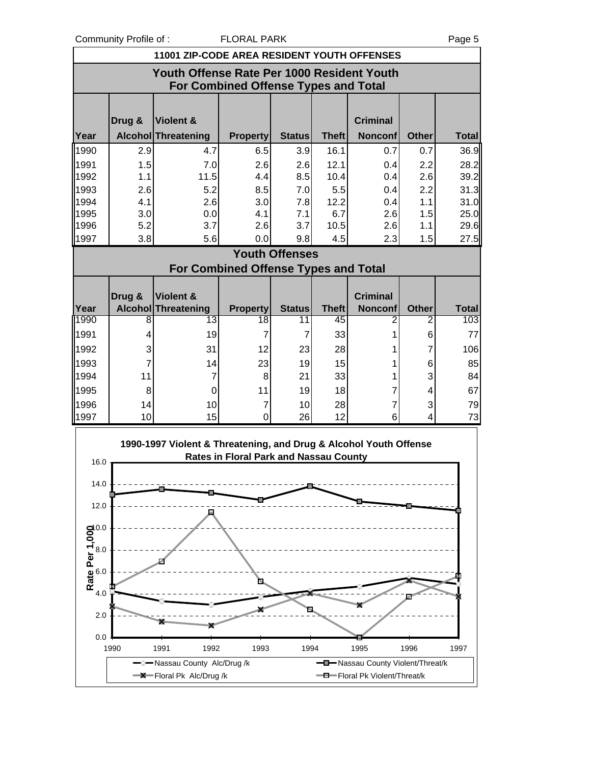Community Profile of : FLORAL PARK PARK Page 5

|                                                                                    | 11001 ZIP-CODE AREA RESIDENT YOUTH OFFENSES |                                                                   |                                        |                       |                    |                                                                    |                   |                     |  |  |  |
|------------------------------------------------------------------------------------|---------------------------------------------|-------------------------------------------------------------------|----------------------------------------|-----------------------|--------------------|--------------------------------------------------------------------|-------------------|---------------------|--|--|--|
| Youth Offense Rate Per 1000 Resident Youth<br>For Combined Offense Types and Total |                                             |                                                                   |                                        |                       |                    |                                                                    |                   |                     |  |  |  |
|                                                                                    | Drug &                                      | Violent &                                                         |                                        |                       |                    | <b>Criminal</b>                                                    |                   |                     |  |  |  |
| Year                                                                               |                                             | Alcohol Threatening                                               | <b>Property</b>                        | <b>Status</b>         | <b>Theft</b>       | <b>Nonconf</b>                                                     | <b>Other</b>      | <b>Total</b>        |  |  |  |
| 1990                                                                               | 2.9                                         | 4.7                                                               | 6.5                                    | 3.9                   | 16.1               | 0.7                                                                | 0.7               | 36.9                |  |  |  |
| 1991                                                                               | 1.5                                         | 7.0                                                               | 2.6                                    | 2.6                   | 12.1               | 0.4                                                                | 2.2               | 28.2                |  |  |  |
| 1992                                                                               | 1.1                                         | 11.5                                                              | 4.4                                    | 8.5                   | 10.4               | 0.4                                                                | 2.6               | 39.2                |  |  |  |
| 1993<br>1994                                                                       | 2.6<br>4.1                                  | 5.2<br>2.6                                                        | 8.5<br>3.0                             | 7.0<br>7.8            | 5.5<br>12.2        | 0.4<br>0.4                                                         | 2.2<br>1.1        | 31.3<br>31.0        |  |  |  |
| 1995                                                                               | 3.0                                         | 0.0                                                               | 4.1                                    | 7.1                   | 6.7                | 2.6                                                                | 1.5               | 25.0                |  |  |  |
| 1996                                                                               | 5.2                                         | 3.7                                                               | 2.6                                    | 3.7                   | 10.5               | 2.6                                                                | 1.1               | 29.6                |  |  |  |
| 1997                                                                               | 3.8                                         | 5.6                                                               | 0.0                                    | 9.8                   | 4.5                | 2.3                                                                | 1.5               | 27.5                |  |  |  |
|                                                                                    |                                             |                                                                   |                                        | <b>Youth Offenses</b> |                    |                                                                    |                   |                     |  |  |  |
|                                                                                    |                                             |                                                                   | For Combined Offense Types and Total   |                       |                    |                                                                    |                   |                     |  |  |  |
|                                                                                    |                                             |                                                                   |                                        |                       |                    |                                                                    |                   |                     |  |  |  |
|                                                                                    | Drug &                                      | Violent &                                                         |                                        |                       |                    | <b>Criminal</b>                                                    |                   |                     |  |  |  |
| Year<br>1990                                                                       | 8                                           | Alcohol Threatening<br>13                                         | <b>Property</b><br>18                  | <b>Status</b><br>11   | <b>Theft</b><br>45 | <b>Nonconf</b><br>2                                                | <b>Other</b><br>2 | <b>Total</b><br>103 |  |  |  |
| 1991                                                                               | 4                                           | 19                                                                | $\overline{7}$                         | 7                     | 33                 | 1                                                                  | 6                 | 77                  |  |  |  |
| 1992                                                                               | 3                                           | 31                                                                | 12                                     | 23                    | 28                 |                                                                    | 7                 | 106                 |  |  |  |
| 1993                                                                               | 7                                           | 14                                                                | 23                                     | 19                    | 15                 | 1                                                                  | 6                 | 85                  |  |  |  |
| 1994                                                                               | 11                                          | 7                                                                 | 8                                      | 21                    | 33                 | $\mathbf{1}$                                                       | 3                 | 84                  |  |  |  |
| 1995                                                                               | 8                                           | 0                                                                 | 11                                     | 19                    | 18                 | 7                                                                  | 4                 | 67                  |  |  |  |
| 1996                                                                               | 14                                          | 10                                                                | $\overline{7}$                         | 10                    | 28                 | 7                                                                  | 3                 | 79                  |  |  |  |
| 1997                                                                               | 10                                          | 15                                                                | $\mathbf 0$                            | 26                    | 12                 | 6                                                                  | 4                 | 73                  |  |  |  |
| 16.0                                                                               |                                             | 1990-1997 Violent & Threatening, and Drug & Alcohol Youth Offense | Rates in Floral Park and Nassau County |                       |                    |                                                                    |                   |                     |  |  |  |
| 14.0                                                                               |                                             |                                                                   |                                        |                       |                    |                                                                    |                   |                     |  |  |  |
| 12.0                                                                               |                                             |                                                                   |                                        |                       |                    |                                                                    |                   |                     |  |  |  |
|                                                                                    |                                             |                                                                   |                                        |                       |                    |                                                                    |                   |                     |  |  |  |
|                                                                                    |                                             |                                                                   |                                        |                       |                    |                                                                    |                   |                     |  |  |  |
|                                                                                    |                                             |                                                                   |                                        |                       |                    |                                                                    |                   |                     |  |  |  |
|                                                                                    |                                             |                                                                   |                                        |                       |                    |                                                                    |                   |                     |  |  |  |
| Rate Per 1,000<br>4.0                                                              |                                             |                                                                   |                                        |                       |                    |                                                                    |                   |                     |  |  |  |
|                                                                                    |                                             |                                                                   |                                        |                       |                    |                                                                    |                   |                     |  |  |  |
| 2.0                                                                                |                                             |                                                                   |                                        |                       |                    |                                                                    |                   |                     |  |  |  |
| 0.0                                                                                | 1990                                        | 1992<br>1991                                                      | 1993                                   | 1994                  |                    | 1995                                                               | 1996              | 1997                |  |  |  |
|                                                                                    |                                             | -Nassau County Alc/Drug /k<br>$\rightarrow$ Floral Pk Alc/Drug/k  |                                        |                       |                    | -D-Nassau County Violent/Threat/k<br>-D-Floral Pk Violent/Threat/k |                   |                     |  |  |  |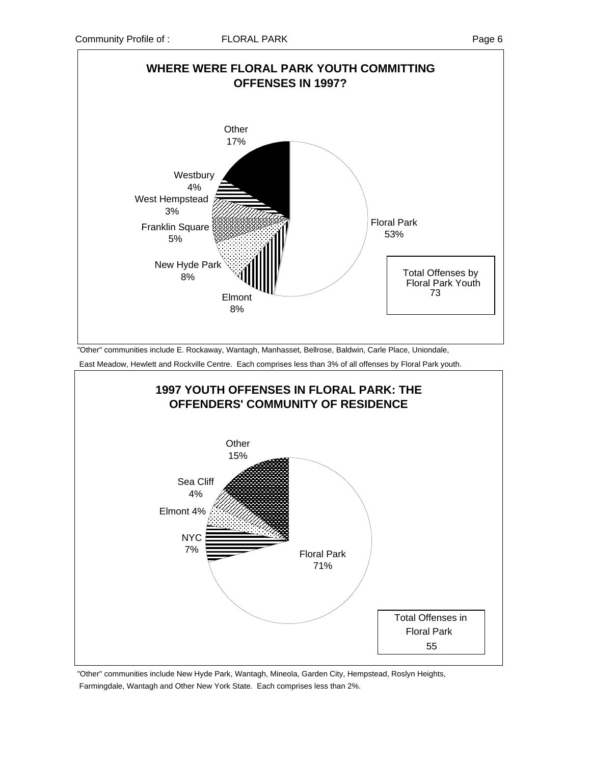

 "Other" communities include E. Rockaway, Wantagh, Manhasset, Bellrose, Baldwin, Carle Place, Uniondale, East Meadow, Hewlett and Rockville Centre. Each comprises less than 3% of all offenses by Floral Park youth.



 "Other" communities include New Hyde Park, Wantagh, Mineola, Garden City, Hempstead, Roslyn Heights, Farmingdale, Wantagh and Other New York State. Each comprises less than 2%.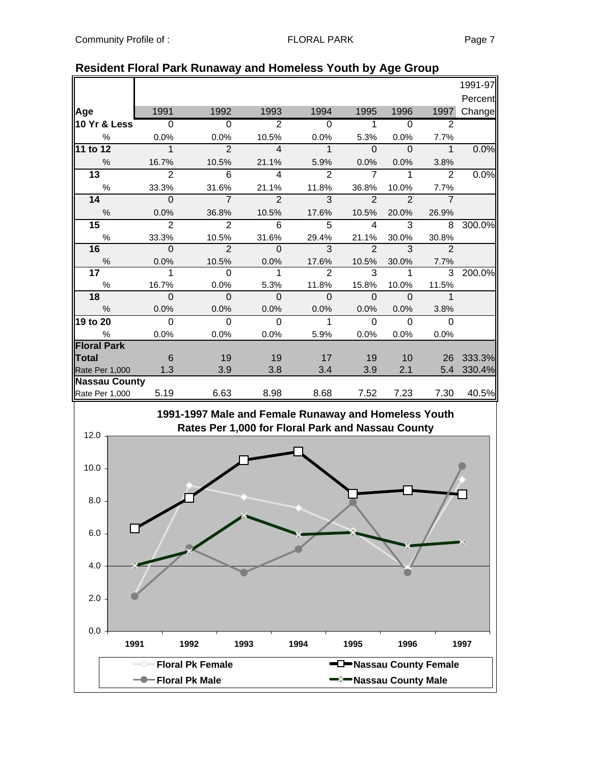|                 |                              |                         |                |                |                |                | 1991-97              |
|-----------------|------------------------------|-------------------------|----------------|----------------|----------------|----------------|----------------------|
|                 |                              |                         |                |                |                |                | Percent              |
| 1991            | 1992                         | 1993                    | 1994           | 1995           | 1996           | 1997           | Change               |
| $\overline{0}$  | $\overline{0}$               | $\overline{2}$          | $\overline{0}$ | 1              | $\overline{0}$ | 2              |                      |
| 0.0%            | 0.0%                         | 10.5%                   | 0.0%           | 5.3%           | 0.0%           | 7.7%           |                      |
| $\overline{1}$  | $\overline{2}$               | $\overline{4}$          | $\mathbf 1$    | $\mathbf 0$    | $\mathbf 0$    | $\mathbf{1}$   | 0.0%                 |
| 16.7%           | 10.5%                        | 21.1%                   | 5.9%           | 0.0%           | 0.0%           | 3.8%           |                      |
| $\overline{2}$  | 6                            | $\overline{\mathbf{4}}$ | $\overline{2}$ | $\overline{7}$ | 1              | $\mathfrak{p}$ | 0.0%                 |
| 33.3%           | 31.6%                        | 21.1%                   | 11.8%          | 36.8%          | 10.0%          | 7.7%           |                      |
| $\Omega$        | $\overline{7}$               | $\mathcal{P}$           | 3              | $\mathcal{P}$  | $\mathcal{P}$  | $\overline{7}$ |                      |
| 0.0%            | 36.8%                        | 10.5%                   | 17.6%          | 10.5%          | 20.0%          | 26.9%          |                      |
| $\overline{2}$  | $\overline{2}$               | 6                       | 5              | 4              | 3              | 8              | 300.0%               |
| 33.3%           | 10.5%                        | 31.6%                   | 29.4%          | 21.1%          | 30.0%          | 30.8%          |                      |
| $\Omega$        | $\overline{2}$               | $\Omega$                | 3              | $\overline{2}$ | 3              | $\overline{2}$ |                      |
| 0.0%            | 10.5%                        | 0.0%                    | 17.6%          | 10.5%          | 30.0%          | 7.7%           |                      |
| 1               | $\Omega$                     | 1                       | $\mathcal{P}$  | 3              |                | 3              | 200.0%               |
| 16.7%           | 0.0%                         | 5.3%                    | 11.8%          | 15.8%          | 10.0%          | 11.5%          |                      |
| $\mathbf{0}$    | $\mathbf 0$                  | $\Omega$                | $\Omega$       | $\Omega$       | $\Omega$       |                |                      |
| 0.0%            | 0.0%                         | 0.0%                    | 0.0%           | 0.0%           | 0.0%           | 3.8%           |                      |
| $\Omega$        | $\Omega$                     | $\Omega$                | 1              | $\Omega$       | $\Omega$       | $\Omega$       |                      |
| 0.0%            | 0.0%                         | 0.0%                    | 5.9%           | 0.0%           | 0.0%           | 0.0%           |                      |
|                 |                              |                         |                |                |                |                |                      |
| $6\phantom{1}6$ | 19                           | 19                      | 17             | 19             | 10             | 26             | 333.3%               |
| 1.3             | 3.9                          | 3.8                     | 3.4            | 3.9            | 2.1            | 5.4            | 330.4%               |
|                 |                              |                         |                |                |                |                |                      |
|                 |                              | 8.98                    |                |                |                |                | 40.5%                |
|                 | <b>Nassau County</b><br>5.19 | 6.63                    |                | 8.68           | 7.52           | 7.23           | $\mathbf{1}$<br>7.30 |

### **Resident Floral Park Runaway and Homeless Youth by Age Group**

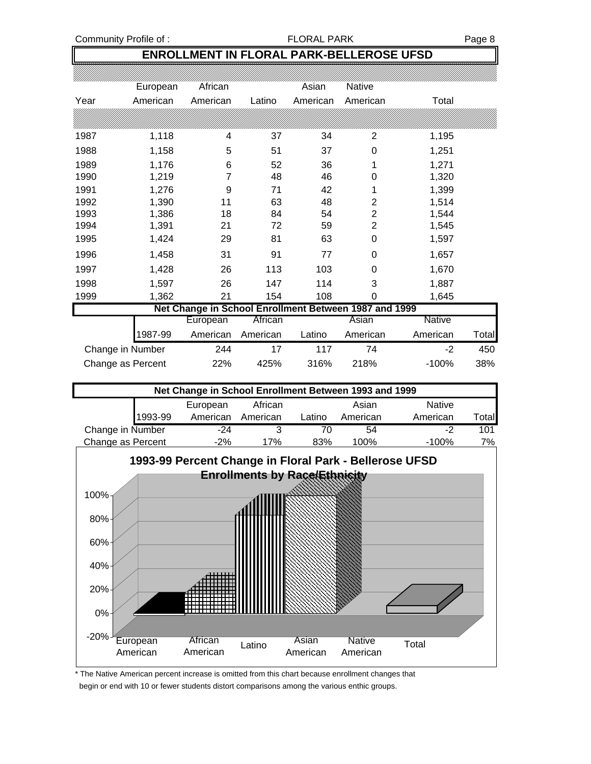Community Profile of : The Second School of School PARK PARK Page 8

## **ENROLLMENT IN FLORAL PARK-BELLEROSE UFSD**

|                   | European | African                                               |          | Asian    | Native         |          |       |
|-------------------|----------|-------------------------------------------------------|----------|----------|----------------|----------|-------|
| Year              | American | American                                              | Latino   | American | American       | Total    |       |
|                   |          |                                                       |          |          |                |          |       |
| 1987              | 1,118    | 4                                                     | 37       | 34       | 2              | 1,195    |       |
| 1988              | 1,158    | 5                                                     | 51       | 37       | 0              | 1,251    |       |
| 1989              | 1,176    | 6                                                     | 52       | 36       | 1              | 1,271    |       |
| 1990              | 1,219    | 7                                                     | 48       | 46       | 0              | 1,320    |       |
| 1991              | 1,276    | 9                                                     | 71       | 42       | 1              | 1,399    |       |
| 1992              | 1,390    | 11                                                    | 63       | 48       | $\overline{2}$ | 1,514    |       |
| 1993              | 1,386    | 18                                                    | 84       | 54       | $\overline{2}$ | 1,544    |       |
| 1994              | 1,391    | 21                                                    | 72       | 59       | $\overline{2}$ | 1,545    |       |
| 1995              | 1,424    | 29                                                    | 81       | 63       | 0              | 1,597    |       |
| 1996              | 1,458    | 31                                                    | 91       | 77       | 0              | 1,657    |       |
| 1997              | 1,428    | 26                                                    | 113      | 103      | 0              | 1,670    |       |
| 1998              | 1,597    | 26                                                    | 147      | 114      | 3              | 1,887    |       |
| 1999              | 1,362    | 21                                                    | 154      | 108      | 0              | 1,645    |       |
|                   |          | Net Change in School Enrollment Between 1987 and 1999 |          |          |                |          |       |
|                   |          | European                                              | African  |          | Asian          | Native   |       |
|                   | 1987-99  | American                                              | American | Latino   | American       | American | Total |
| Change in Number  |          | 244                                                   | 17       | 117      | 74             | $-2$     | 450   |
| Change as Percent |          | 22%                                                   | 425%     | 316%     | 218%           | $-100%$  | 38%   |

| Net Change in School Enrollment Between 1993 and 1999 |          |          |        |          |               |                |  |  |
|-------------------------------------------------------|----------|----------|--------|----------|---------------|----------------|--|--|
|                                                       | European | African  |        | Asian    | <b>Native</b> |                |  |  |
| 1993-99                                               | American | American | Latino | American | American      | Total <b>l</b> |  |  |
| Change in Number                                      | $-24$    |          |        | 54       | -2            | 101            |  |  |
| Change as Percent                                     | $-2%$    | 17%      | 83%    | 100%     | $-100\%$      | 7%             |  |  |



\* The Native American percent increase is omitted from this chart because enrollment changes that begin or end with 10 or fewer students distort comparisons among the various enthic groups.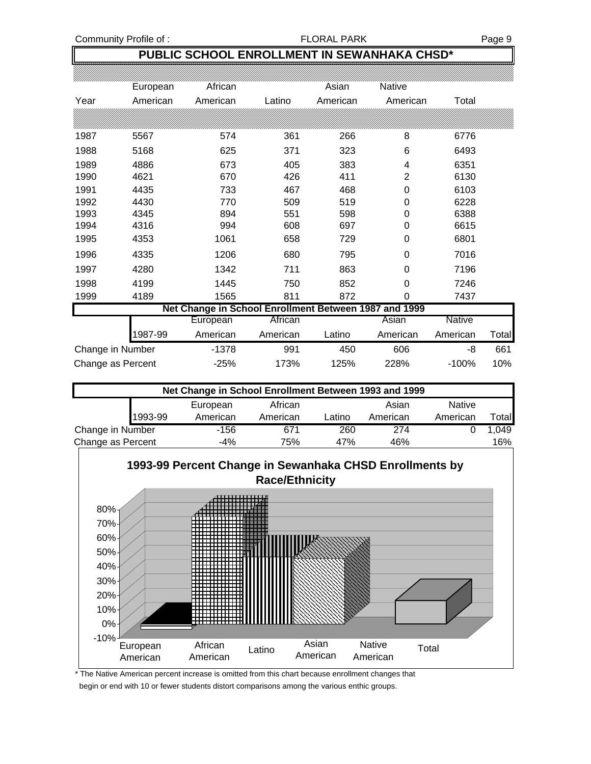## **PUBLIC SCHOOL ENROLLMENT IN SEWANHAKA CHSD\***

|                   | European | African                                               |          | Asian    | Native         |               |       |
|-------------------|----------|-------------------------------------------------------|----------|----------|----------------|---------------|-------|
| Year              | American | American                                              | Latino   | American | American       | Total         |       |
|                   |          |                                                       |          |          |                |               |       |
| 1987              | 5567     | 574                                                   | 361      | 266      | 8              | 6776          |       |
| 1988              | 5168     | 625                                                   | 371      | 323      | 6              | 6493          |       |
| 1989              | 4886     | 673                                                   | 405      | 383      | 4              | 6351          |       |
| 1990              | 4621     | 670                                                   | 426      | 411      | $\overline{2}$ | 6130          |       |
| 1991              | 4435     | 733                                                   | 467      | 468      | 0              | 6103          |       |
| 1992              | 4430     | 770                                                   | 509      | 519      | 0              | 6228          |       |
| 1993              | 4345     | 894                                                   | 551      | 598      | 0              | 6388          |       |
| 1994              | 4316     | 994                                                   | 608      | 697      | 0              | 6615          |       |
| 1995              | 4353     | 1061                                                  | 658      | 729      | 0              | 6801          |       |
| 1996              | 4335     | 1206                                                  | 680      | 795      | 0              | 7016          |       |
| 1997              | 4280     | 1342                                                  | 711      | 863      | 0              | 7196          |       |
| 1998              | 4199     | 1445                                                  | 750      | 852      | 0              | 7246          |       |
| 1999              | 4189     | 1565                                                  | 811      | 872      | $\Omega$       | 7437          |       |
|                   |          | Net Change in School Enrollment Between 1987 and 1999 |          |          |                |               |       |
|                   |          | European                                              | African  |          | Asian          | <b>Native</b> |       |
|                   | 1987-99  | American                                              | American | Latino   | American       | American      | Total |
| Change in Number  |          | $-1378$                                               | 991      | 450      | 606            | -8            | 661   |
| Change as Percent |          | $-25%$                                                | 173%     | 125%     | 228%           | $-100%$       | 10%   |

|                   | Net Change in School Enrollment Between 1993 and 1999 |          |          |        |          |               |        |  |  |  |
|-------------------|-------------------------------------------------------|----------|----------|--------|----------|---------------|--------|--|--|--|
|                   |                                                       | European | African  |        | Asian    | <b>Native</b> |        |  |  |  |
|                   | 1993-99                                               | American | American | Latino | American | American      | Totall |  |  |  |
| Change in Number  |                                                       | -156     | 671      | 260    | 274      |               | 1.049  |  |  |  |
| Change as Percent |                                                       | $-4%$    | 75%      | 47%    | 46%      |               | 16%    |  |  |  |



\* The Native American percent increase is omitted from this chart because enrollment changes that

begin or end with 10 or fewer students distort comparisons among the various enthic groups.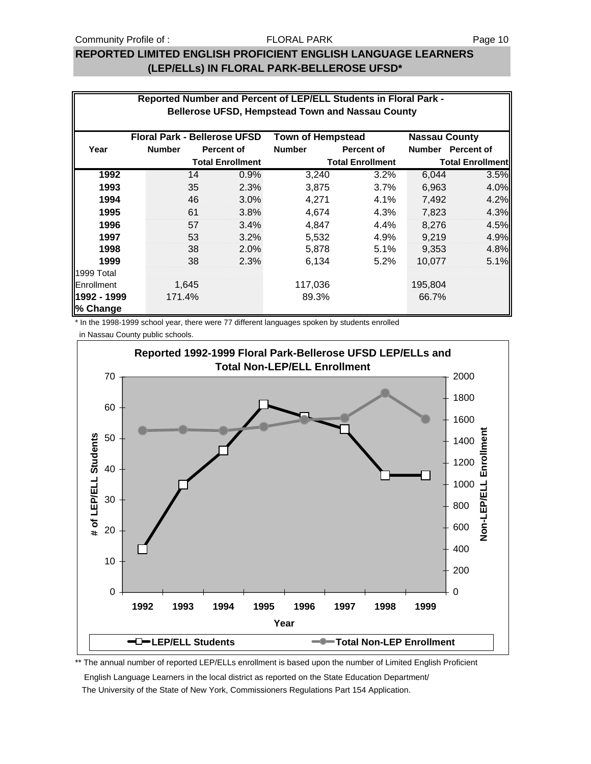## **REPORTED LIMITED ENGLISH PROFICIENT ENGLISH LANGUAGE LEARNERS (LEP/ELLs) IN FLORAL PARK-BELLEROSE UFSD\***

| Reported Number and Percent of LEP/ELL Students in Floral Park -<br><b>Bellerose UFSD, Hempstead Town and Nassau County</b> |                                                                                         |       |                         |               |                         |         |                         |  |  |
|-----------------------------------------------------------------------------------------------------------------------------|-----------------------------------------------------------------------------------------|-------|-------------------------|---------------|-------------------------|---------|-------------------------|--|--|
|                                                                                                                             | <b>Floral Park - Bellerose UFSD</b><br><b>Town of Hempstead</b><br><b>Nassau County</b> |       |                         |               |                         |         |                         |  |  |
| Year                                                                                                                        | <b>Number</b>                                                                           |       | Percent of              | <b>Number</b> | Percent of              |         | Number Percent of       |  |  |
|                                                                                                                             |                                                                                         |       | <b>Total Enrollment</b> |               | <b>Total Enrollment</b> |         | <b>Total Enrollment</b> |  |  |
| 1992                                                                                                                        |                                                                                         | 14    | 0.9%                    | 3,240         | 3.2%                    | 6,044   | 3.5%                    |  |  |
| 1993                                                                                                                        |                                                                                         | 35    | 2.3%                    | 3,875         | 3.7%                    | 6,963   | 4.0%                    |  |  |
| 1994                                                                                                                        |                                                                                         | 46    | 3.0%                    | 4,271         | 4.1%                    | 7,492   | 4.2%                    |  |  |
| 1995                                                                                                                        |                                                                                         | 61    | 3.8%                    | 4,674         | 4.3%                    | 7,823   | 4.3%                    |  |  |
| 1996                                                                                                                        |                                                                                         | 57    | 3.4%                    | 4,847         | $4.4\%$                 | 8,276   | 4.5%                    |  |  |
| 1997                                                                                                                        |                                                                                         | 53    | 3.2%                    | 5,532         | 4.9%                    | 9,219   | 4.9%                    |  |  |
| 1998                                                                                                                        |                                                                                         | 38    | 2.0%                    | 5,878         | 5.1%                    | 9,353   | 4.8%                    |  |  |
| 1999                                                                                                                        |                                                                                         | 38    | 2.3%                    | 6,134         | 5.2%                    | 10,077  | 5.1%                    |  |  |
| 1999 Total                                                                                                                  |                                                                                         |       |                         |               |                         |         |                         |  |  |
| Enrollment                                                                                                                  |                                                                                         | 1,645 |                         | 117,036       |                         | 195,804 |                         |  |  |
| 1992 - 1999<br>% Change                                                                                                     | 171.4%                                                                                  |       |                         | 89.3%         |                         | 66.7%   |                         |  |  |

\* In the 1998-1999 school year, there were 77 different languages spoken by students enrolled

in Nassau County public schools.



\*\* The annual number of reported LEP/ELLs enrollment is based upon the number of Limited English Proficient

English Language Learners in the local district as reported on the State Education Department/

The University of the State of New York, Commissioners Regulations Part 154 Application.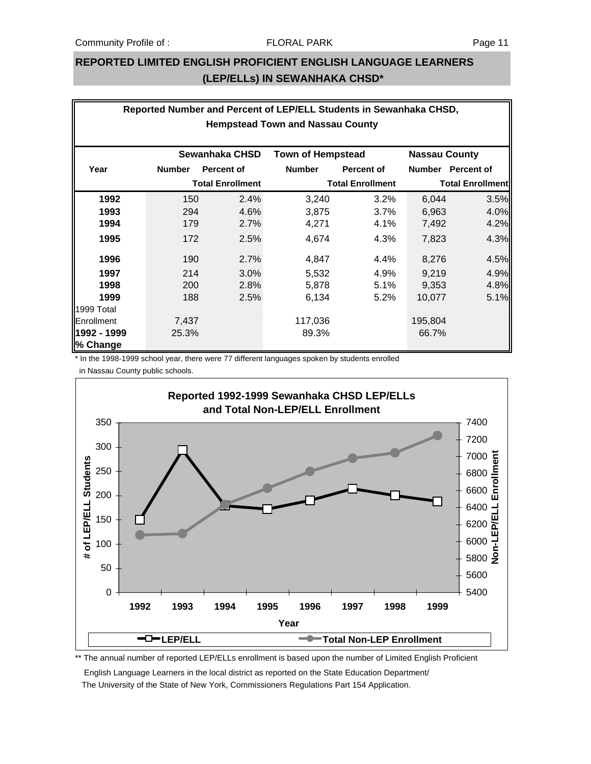### **REPORTED LIMITED ENGLISH PROFICIENT ENGLISH LANGUAGE LEARNERS (LEP/ELLs) IN SEWANHAKA CHSD\***

| Reported Number and Percent of LEP/ELL Students in Sewanhaka CHSD, |               |                         |               |                         |         |                      |  |  |
|--------------------------------------------------------------------|---------------|-------------------------|---------------|-------------------------|---------|----------------------|--|--|
| <b>Hempstead Town and Nassau County</b>                            |               |                         |               |                         |         |                      |  |  |
|                                                                    |               |                         |               |                         |         |                      |  |  |
| Sewanhaka CHSD<br><b>Town of Hempstead</b>                         |               |                         |               |                         |         | <b>Nassau County</b> |  |  |
| Year                                                               | <b>Number</b> | <b>Percent of</b>       | <b>Number</b> | <b>Percent of</b>       |         | Number Percent of    |  |  |
| <b>Total Enrollment</b>                                            |               | <b>Total Enrollment</b> |               | <b>Total Enrollment</b> |         |                      |  |  |
| 1992                                                               | 150           | 2.4%                    | 3,240         | 3.2%                    | 6,044   | 3.5%                 |  |  |
| 1993                                                               | 294           | 4.6%                    | 3,875         | 3.7%                    | 6,963   | 4.0%                 |  |  |
| 1994                                                               | 179           | 2.7%                    | 4,271         | 4.1%                    | 7,492   | 4.2%                 |  |  |
| 1995                                                               | 172           | 2.5%                    | 4,674         | 4.3%                    | 7,823   | 4.3%                 |  |  |
| 1996                                                               | 190           | 2.7%                    | 4,847         | 4.4%                    | 8,276   | 4.5%                 |  |  |
| 1997                                                               | 214           | 3.0%                    | 5,532         | 4.9%                    | 9,219   | 4.9%                 |  |  |
| 1998                                                               | 200           | 2.8%                    | 5,878         | 5.1%                    | 9,353   | 4.8%                 |  |  |
| 1999                                                               | 188           | 2.5%                    | 6,134         | 5.2%                    | 10,077  | 5.1%                 |  |  |
| 1999 Total                                                         |               |                         |               |                         |         |                      |  |  |
| Enrollment                                                         | 7,437         |                         | 117,036       |                         | 195,804 |                      |  |  |
| 1992 - 1999                                                        | 25.3%         |                         | 89.3%         |                         | 66.7%   |                      |  |  |
| % Change                                                           |               |                         |               |                         |         |                      |  |  |

\* In the 1998-1999 school year, there were 77 different languages spoken by students enrolled in Nassau County public schools.



\*\* The annual number of reported LEP/ELLs enrollment is based upon the number of Limited English Proficient

 English Language Learners in the local district as reported on the State Education Department/ The University of the State of New York, Commissioners Regulations Part 154 Application.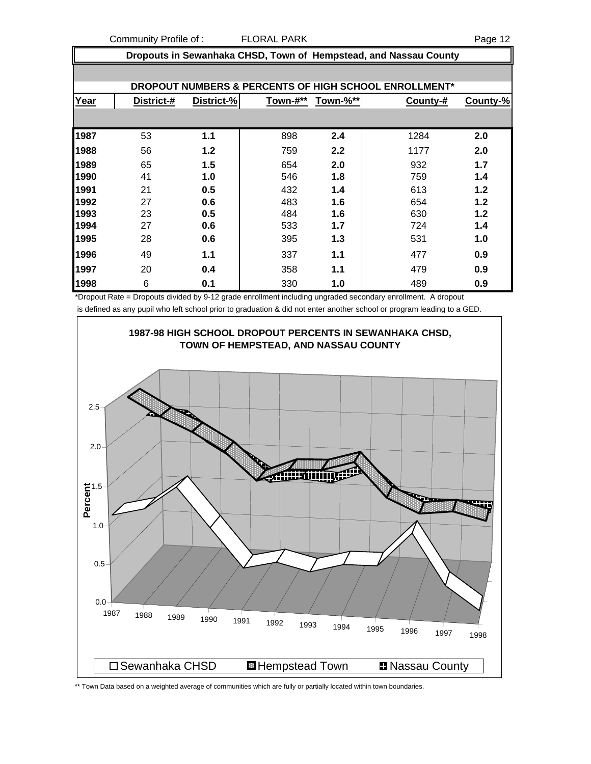Community Profile of : FLORAL PARK Page 12

|                                                       | Dropouts in Sewanhaka CHSD, Town of Hempstead, and Nassau County |            |          |          |          |          |  |  |
|-------------------------------------------------------|------------------------------------------------------------------|------------|----------|----------|----------|----------|--|--|
| DROPOUT NUMBERS & PERCENTS OF HIGH SCHOOL ENROLLMENT* |                                                                  |            |          |          |          |          |  |  |
| Year                                                  | District-#                                                       | District-% | Town-#** | Town-%** | County-# | County-% |  |  |
|                                                       |                                                                  |            |          |          |          |          |  |  |
| 1987                                                  | 53                                                               | 1.1        | 898      | 2.4      | 1284     | 2.0      |  |  |
| 1988                                                  | 56                                                               | 1.2        | 759      | 2.2      | 1177     | 2.0      |  |  |
| 1989                                                  | 65                                                               | 1.5        | 654      | 2.0      | 932      | 1.7      |  |  |
| 1990                                                  | 41                                                               | 1.0        | 546      | 1.8      | 759      | 1.4      |  |  |
| 1991                                                  | 21                                                               | 0.5        | 432      | 1.4      | 613      | 1.2      |  |  |
| 1992                                                  | 27                                                               | 0.6        | 483      | 1.6      | 654      | 1.2      |  |  |
| 1993                                                  | 23                                                               | 0.5        | 484      | 1.6      | 630      | $1.2$    |  |  |
| 1994                                                  | 27                                                               | 0.6        | 533      | 1.7      | 724      | 1.4      |  |  |
| 1995                                                  | 28                                                               | 0.6        | 395      | 1.3      | 531      | 1.0      |  |  |
| 1996                                                  | 49                                                               | 1.1        | 337      | 1.1      | 477      | 0.9      |  |  |
| 1997                                                  | 20                                                               | 0.4        | 358      | 1.1      | 479      | 0.9      |  |  |
| 1998                                                  | 6                                                                | 0.1        | 330      | 1.0      | 489      | 0.9      |  |  |

\*Dropout Rate = Dropouts divided by 9-12 grade enrollment including ungraded secondary enrollment. A dropout is defined as any pupil who left school prior to graduation & did not enter another school or program leading to a GED.



\*\* Town Data based on a weighted average of communities which are fully or partially located within town boundaries.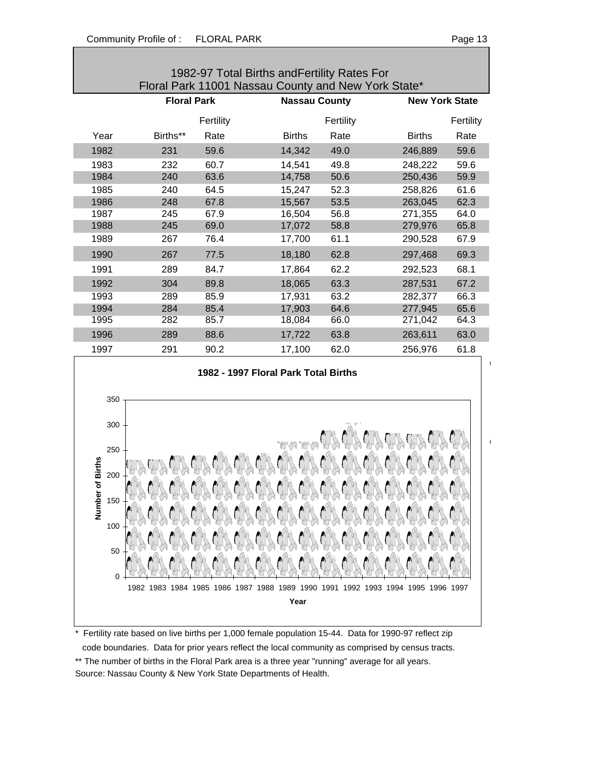| aae |
|-----|
|-----|

 $\blacksquare$ 

 $\blacksquare$ 

| 1982-97 Total Births and Fertility Rates For<br>Floral Park 11001 Nassau County and New York State* |                     |              |                                         |           |               |                       |  |  |  |
|-----------------------------------------------------------------------------------------------------|---------------------|--------------|-----------------------------------------|-----------|---------------|-----------------------|--|--|--|
|                                                                                                     | <b>Floral Park</b>  |              | <b>Nassau County</b>                    |           |               | <b>New York State</b> |  |  |  |
|                                                                                                     |                     | Fertility    |                                         | Fertility |               | Fertility             |  |  |  |
| Year                                                                                                | Births**            | Rate         | <b>Births</b>                           | Rate      | <b>Births</b> | Rate                  |  |  |  |
| 1982                                                                                                | 231                 | 59.6         | 14,342                                  | 49.0      | 246,889       | 59.6                  |  |  |  |
| 1983                                                                                                | 232                 | 60.7         | 14,541                                  | 49.8      | 248,222       | 59.6                  |  |  |  |
| 1984                                                                                                | 240                 | 63.6         | 14,758                                  | 50.6      | 250,436       | 59.9                  |  |  |  |
| 1985                                                                                                | 240                 | 64.5         | 15,247                                  | 52.3      | 258,826       | 61.6                  |  |  |  |
| 1986                                                                                                | 248                 | 67.8         | 15,567                                  | 53.5      | 263,045       | 62.3                  |  |  |  |
| 1987                                                                                                | 245                 | 67.9         | 16,504                                  | 56.8      | 271,355       | 64.0                  |  |  |  |
| 1988                                                                                                | 245                 | 69.0         | 17,072                                  | 58.8      | 279,976       | 65.8                  |  |  |  |
| 1989                                                                                                | 267                 | 76.4         | 17,700                                  | 61.1      | 290,528       | 67.9                  |  |  |  |
| 1990                                                                                                | 267                 | 77.5         | 18,180                                  | 62.8      | 297,468       | 69.3                  |  |  |  |
| 1991                                                                                                | 289                 | 84.7         | 17,864                                  | 62.2      | 292,523       | 68.1                  |  |  |  |
| 1992                                                                                                | 304                 | 89.8         | 18,065                                  | 63.3      | 287,531       | 67.2                  |  |  |  |
| 1993                                                                                                | 289                 | 85.9         | 17,931                                  | 63.2      | 282,377       | 66.3                  |  |  |  |
| 1994                                                                                                | 284                 | 85.4         | 17,903                                  | 64.6      | 277,945       | 65.6                  |  |  |  |
| 1995                                                                                                | 282                 | 85.7         | 18,084                                  | 66.0      | 271,042       | 64.3                  |  |  |  |
| 1996                                                                                                | 289                 | 88.6         | 17,722                                  | 63.8      | 263,611       | 63.0                  |  |  |  |
| 1997                                                                                                | 291                 | 90.2         | 17,100                                  | 62.0      | 256,976       | 61.8                  |  |  |  |
| 1982 - 1997 Floral Park Total Births                                                                |                     |              |                                         |           |               |                       |  |  |  |
|                                                                                                     |                     |              |                                         |           |               |                       |  |  |  |
| 350                                                                                                 |                     |              |                                         |           |               |                       |  |  |  |
| 300                                                                                                 |                     |              |                                         |           |               |                       |  |  |  |
|                                                                                                     |                     |              |                                         |           |               |                       |  |  |  |
| 250                                                                                                 |                     |              |                                         |           |               |                       |  |  |  |
| ber of Births                                                                                       |                     |              |                                         |           |               |                       |  |  |  |
| 200                                                                                                 |                     |              |                                         |           |               |                       |  |  |  |
|                                                                                                     |                     |              |                                         |           |               |                       |  |  |  |
| 150<br>mi<br>Numi                                                                                   |                     |              |                                         |           |               |                       |  |  |  |
|                                                                                                     |                     |              |                                         |           |               |                       |  |  |  |
| 100                                                                                                 |                     |              |                                         |           |               |                       |  |  |  |
| 50                                                                                                  |                     |              |                                         |           |               |                       |  |  |  |
|                                                                                                     |                     |              |                                         |           |               |                       |  |  |  |
| 0                                                                                                   |                     |              |                                         |           |               |                       |  |  |  |
|                                                                                                     | 1982 1983 1984 1985 | 1986<br>1987 | 1988 1989 1990 1991 1992 1993 1994 1995 |           | 1996          | 1997                  |  |  |  |
| Year                                                                                                |                     |              |                                         |           |               |                       |  |  |  |

\* Fertility rate based on live births per 1,000 female population 15-44. Data for 1990-97 reflect zip code boundaries. Data for prior years reflect the local community as comprised by census tracts. \*\* The number of births in the Floral Park area is a three year "running" average for all years. Source: Nassau County & New York State Departments of Health.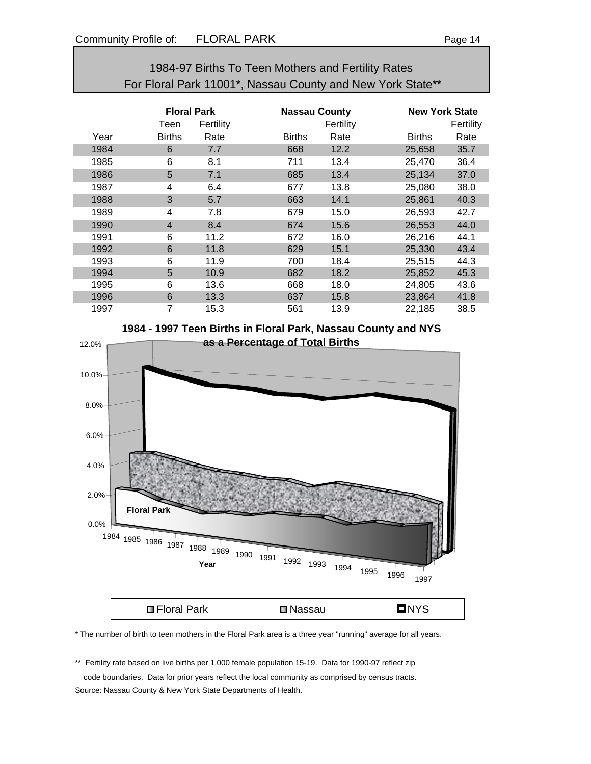| 1984-97 Births To Teen Mothers and Fertility Rates         |                |                    |               |                      |               |                       |  |  |  |
|------------------------------------------------------------|----------------|--------------------|---------------|----------------------|---------------|-----------------------|--|--|--|
| For Floral Park 11001*, Nassau County and New York State** |                |                    |               |                      |               |                       |  |  |  |
|                                                            |                |                    |               |                      |               |                       |  |  |  |
|                                                            |                | <b>Floral Park</b> |               | <b>Nassau County</b> |               | <b>New York State</b> |  |  |  |
|                                                            | Teen           | Fertility          |               | Fertility            |               | Fertility             |  |  |  |
| Year                                                       | <b>Births</b>  | Rate               | <b>Births</b> | Rate                 | <b>Births</b> | Rate                  |  |  |  |
| 1984                                                       | 6              | 7.7                | 668           | 12.2                 | 25,658        | 35.7                  |  |  |  |
| 1985                                                       | 6              | 8.1                | 711           | 13.4                 | 25,470        | 36.4                  |  |  |  |
| 1986                                                       | 5              | 7.1                | 685           | 13.4                 | 25,134        | 37.0                  |  |  |  |
| 1987                                                       | 4              | 6.4                | 677           | 13.8                 | 25,080        | 38.0                  |  |  |  |
| 1988                                                       | 3              | 5.7                | 663           | 14.1                 | 25,861        | 40.3                  |  |  |  |
| 1989                                                       | 4              | 7.8                | 679           | 15.0                 | 26,593        | 42.7                  |  |  |  |
| 1990                                                       | $\overline{4}$ | 8.4                | 674           | 15.6                 | 26,553        | 44.0                  |  |  |  |
| 1991                                                       | 6              | 11.2               | 672           | 16.0                 | 26,216        | 44.1                  |  |  |  |
| 1992                                                       | 6              | 11.8               | 629           | 15.1                 | 25,330        | 43.4                  |  |  |  |
| 1993                                                       | 6              | 11.9               | 700           | 18.4                 | 25,515        | 44.3                  |  |  |  |
| 1994                                                       | 5              | 10.9               | 682           | 18.2                 | 25,852        | 45.3                  |  |  |  |

1995 6 13.6 668 18.0 24,805 43.6 1996 6 13.3 637 15.8 23,864 41.8



\* The number of birth to teen mothers in the Floral Park area is a three year "running" average for all years.

\*\* Fertility rate based on live births per 1,000 female population 15-19. Data for 1990-97 reflect zip

 code boundaries. Data for prior years reflect the local community as comprised by census tracts. Source: Nassau County & New York State Departments of Health.